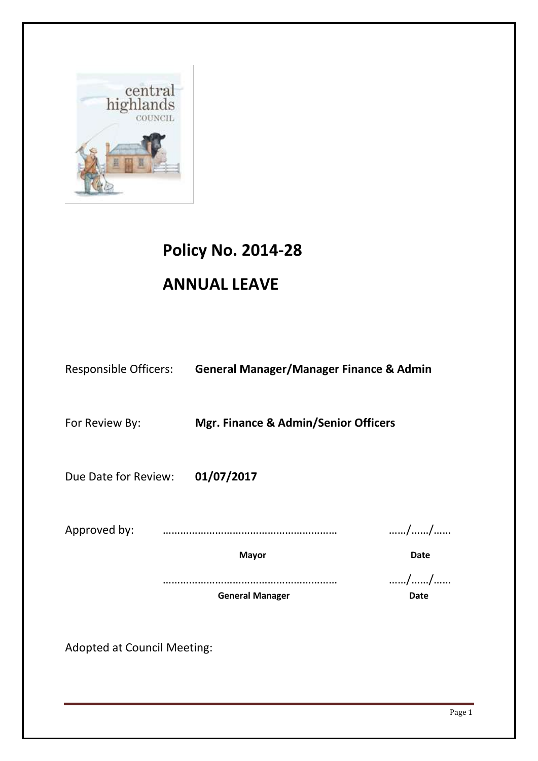

# **Policy No. 2014-28**

## **ANNUAL LEAVE**

|                      | Responsible Officers: General Manager/Manager Finance & Admin |             |
|----------------------|---------------------------------------------------------------|-------------|
| For Review By:       | <b>Mgr. Finance &amp; Admin/Senior Officers</b>               |             |
| Due Date for Review: | 01/07/2017                                                    |             |
|                      |                                                               | //          |
|                      | <b>Mayor</b>                                                  | <b>Date</b> |
|                      | <b>General Manager</b>                                        | //<br>Date  |
|                      |                                                               |             |

Adopted at Council Meeting: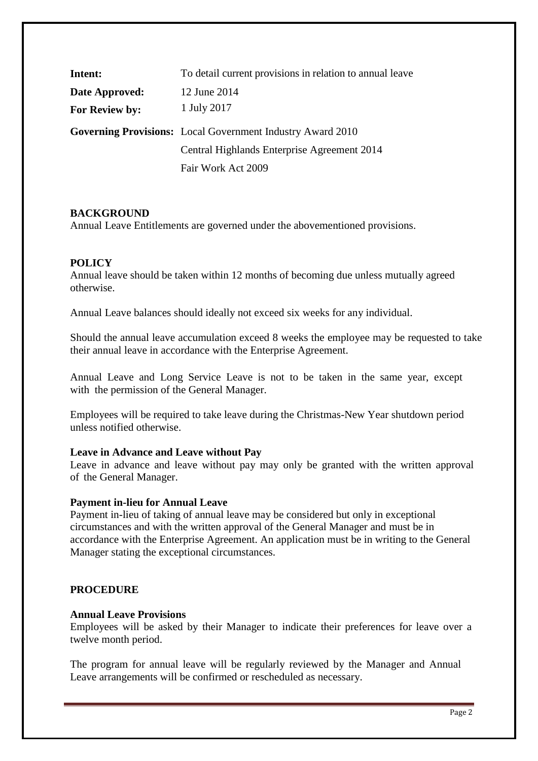| Intent:        | To detail current provisions in relation to annual leave          |
|----------------|-------------------------------------------------------------------|
| Date Approved: | 12 June 2014                                                      |
| For Review by: | 1 July 2017                                                       |
|                | <b>Governing Provisions:</b> Local Government Industry Award 2010 |
|                | Central Highlands Enterprise Agreement 2014                       |
|                | Fair Work Act 2009                                                |

## **BACKGROUND**

Annual Leave Entitlements are governed under the abovementioned provisions.

## **POLICY**

Annual leave should be taken within 12 months of becoming due unless mutually agreed otherwise.

Annual Leave balances should ideally not exceed six weeks for any individual.

Should the annual leave accumulation exceed 8 weeks the employee may be requested to take their annual leave in accordance with the Enterprise Agreement.

Annual Leave and Long Service Leave is not to be taken in the same year, except with the permission of the General Manager.

Employees will be required to take leave during the Christmas-New Year shutdown period unless notified otherwise.

#### **Leave in Advance and Leave without Pay**

Leave in advance and leave without pay may only be granted with the written approval of the General Manager.

#### **Payment in-lieu for Annual Leave**

Payment in-lieu of taking of annual leave may be considered but only in exceptional circumstances and with the written approval of the General Manager and must be in accordance with the Enterprise Agreement. An application must be in writing to the General Manager stating the exceptional circumstances.

## **PROCEDURE**

#### **Annual Leave Provisions**

Employees will be asked by their Manager to indicate their preferences for leave over a twelve month period.

The program for annual leave will be regularly reviewed by the Manager and Annual Leave arrangements will be confirmed or rescheduled as necessary.